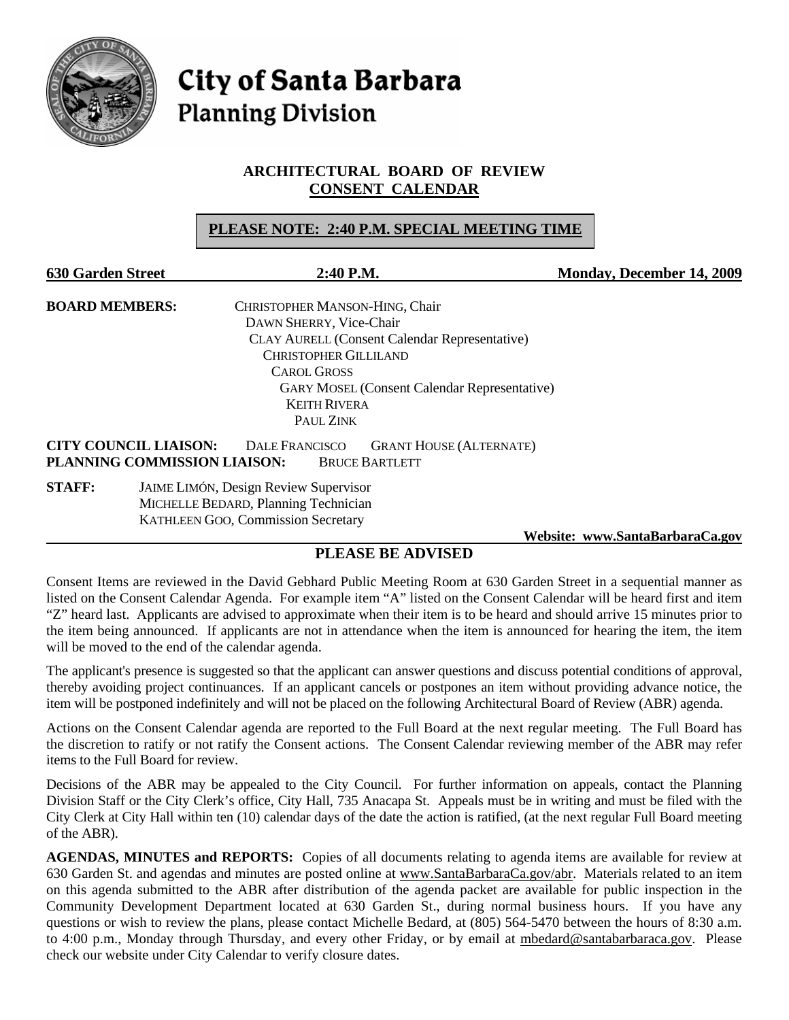

**City of Santa Barbara Planning Division** 

# **ARCHITECTURAL BOARD OF REVIEW CONSENT CALENDAR**

# **PLEASE NOTE: 2:40 P.M. SPECIAL MEETING TIME**

| <b>630 Garden Street</b>                                     |                                       | 2:40 P.M.                                                                        | <b>Monday, December 14, 2009</b> |
|--------------------------------------------------------------|---------------------------------------|----------------------------------------------------------------------------------|----------------------------------|
| <b>BOARD MEMBERS:</b>                                        |                                       | CHRISTOPHER MANSON-HING, Chair                                                   |                                  |
|                                                              |                                       | DAWN SHERRY, Vice-Chair                                                          |                                  |
|                                                              |                                       | <b>CLAY AURELL (Consent Calendar Representative)</b>                             |                                  |
|                                                              |                                       | <b>CHRISTOPHER GILLILAND</b>                                                     |                                  |
|                                                              |                                       | <b>CAROL GROSS</b>                                                               |                                  |
|                                                              |                                       | <b>GARY MOSEL (Consent Calendar Representative)</b>                              |                                  |
|                                                              |                                       | <b>KEITH RIVERA</b>                                                              |                                  |
|                                                              |                                       | PAUL ZINK                                                                        |                                  |
| <b>CITY COUNCIL LIAISON:</b><br>PLANNING COMMISSION LIAISON: |                                       | <b>DALE FRANCISCO</b><br><b>GRANT HOUSE (ALTERNATE)</b><br><b>BRUCE BARTLETT</b> |                                  |
| <b>STAFF:</b>                                                | JAIME LIMÓN, Design Review Supervisor |                                                                                  |                                  |
|                                                              | MICHELLE BEDARD, Planning Technician  |                                                                                  |                                  |
|                                                              |                                       | <b>KATHLEEN GOO, Commission Secretary</b>                                        |                                  |

#### **Website: [www.SantaBarbaraCa.gov](http://www.santabarbaraca.gov/)**

# **PLEASE BE ADVISED**

Consent Items are reviewed in the David Gebhard Public Meeting Room at 630 Garden Street in a sequential manner as listed on the Consent Calendar Agenda. For example item "A" listed on the Consent Calendar will be heard first and item "Z" heard last. Applicants are advised to approximate when their item is to be heard and should arrive 15 minutes prior to the item being announced. If applicants are not in attendance when the item is announced for hearing the item, the item will be moved to the end of the calendar agenda.

The applicant's presence is suggested so that the applicant can answer questions and discuss potential conditions of approval, thereby avoiding project continuances. If an applicant cancels or postpones an item without providing advance notice, the item will be postponed indefinitely and will not be placed on the following Architectural Board of Review (ABR) agenda.

Actions on the Consent Calendar agenda are reported to the Full Board at the next regular meeting. The Full Board has the discretion to ratify or not ratify the Consent actions. The Consent Calendar reviewing member of the ABR may refer items to the Full Board for review.

Decisions of the ABR may be appealed to the City Council. For further information on appeals, contact the Planning Division Staff or the City Clerk's office, City Hall, 735 Anacapa St. Appeals must be in writing and must be filed with the City Clerk at City Hall within ten (10) calendar days of the date the action is ratified, (at the next regular Full Board meeting of the ABR).

**AGENDAS, MINUTES and REPORTS:** Copies of all documents relating to agenda items are available for review at 630 Garden St. and agendas and minutes are posted online at [www.SantaBarbaraCa.gov/abr.](http://www.santabarbaraca.gov/abr) Materials related to an item on this agenda submitted to the ABR after distribution of the agenda packet are available for public inspection in the Community Development Department located at 630 Garden St., during normal business hours. If you have any questions or wish to review the plans, please contact Michelle Bedard, at (805) 564-5470 between the hours of 8:30 a.m. to 4:00 p.m., Monday through Thursday, and every other Friday, or by email at [mbedard@santabarbaraca.gov](mailto:mbedard@santabarbaraca.gov). Please check our website under City Calendar to verify closure dates.